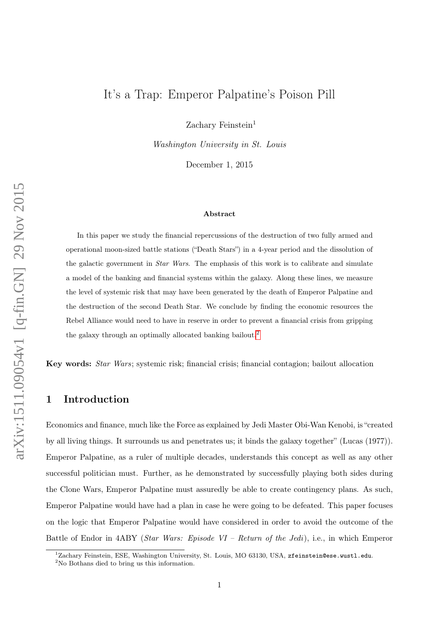# It's a Trap: Emperor Palpatine's Poison Pill

Zachary Feinstein<sup>1</sup>

Washington University in St. Louis

December 1, 2015

#### Abstract

In this paper we study the financial repercussions of the destruction of two fully armed and operational moon-sized battle stations ("Death Stars") in a 4-year period and the dissolution of the galactic government in Star Wars. The emphasis of this work is to calibrate and simulate a model of the banking and financial systems within the galaxy. Along these lines, we measure the level of systemic risk that may have been generated by the death of Emperor Palpatine and the destruction of the second Death Star. We conclude by finding the economic resources the Rebel Alliance would need to have in reserve in order to prevent a financial crisis from gripping the galaxy through an optimally allocated banking bailout.[2](#page-0-0)

Key words: Star Wars; systemic risk; financial crisis; financial contagion; bailout allocation

## 1 Introduction

Economics and finance, much like the Force as explained by Jedi Master Obi-Wan Kenobi, is "created by all living things. It surrounds us and penetrates us; it binds the galaxy together" (Lucas (1977)). Emperor Palpatine, as a ruler of multiple decades, understands this concept as well as any other successful politician must. Further, as he demonstrated by successfully playing both sides during the Clone Wars, Emperor Palpatine must assuredly be able to create contingency plans. As such, Emperor Palpatine would have had a plan in case he were going to be defeated. This paper focuses on the logic that Emperor Palpatine would have considered in order to avoid the outcome of the Battle of Endor in 4ABY (Star Wars: Episode VI – Return of the Jedi), i.e., in which Emperor

<sup>&</sup>lt;sup>1</sup>Zachary Feinstein, ESE, Washington University, St. Louis, MO 63130, USA, zfeinstein@ese.wustl.edu.

<span id="page-0-0"></span><sup>2</sup>No Bothans died to bring us this information.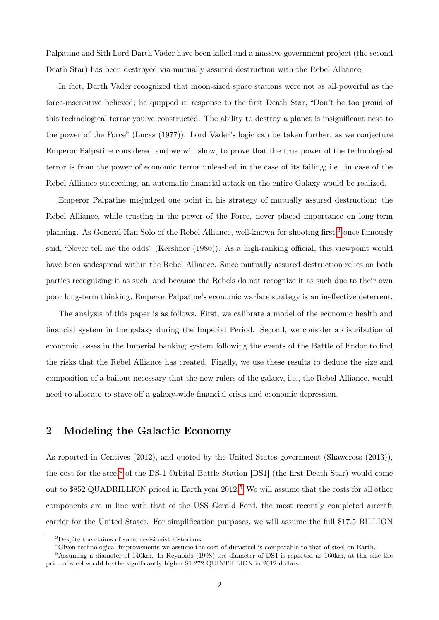Palpatine and Sith Lord Darth Vader have been killed and a massive government project (the second Death Star) has been destroyed via mutually assured destruction with the Rebel Alliance.

In fact, Darth Vader recognized that moon-sized space stations were not as all-powerful as the force-insensitive believed; he quipped in response to the first Death Star, "Don't be too proud of this technological terror you've constructed. The ability to destroy a planet is insignificant next to the power of the Force" (Lucas (1977)). Lord Vader's logic can be taken further, as we conjecture Emperor Palpatine considered and we will show, to prove that the true power of the technological terror is from the power of economic terror unleashed in the case of its failing; i.e., in case of the Rebel Alliance succeeding, an automatic financial attack on the entire Galaxy would be realized.

Emperor Palpatine misjudged one point in his strategy of mutually assured destruction: the Rebel Alliance, while trusting in the power of the Force, never placed importance on long-term planning. As General Han Solo of the Rebel Alliance, well-known for shooting first,<sup>[3](#page-1-0)</sup> once famously said, "Never tell me the odds" (Kershner (1980)). As a high-ranking official, this viewpoint would have been widespread within the Rebel Alliance. Since mutually assured destruction relies on both parties recognizing it as such, and because the Rebels do not recognize it as such due to their own poor long-term thinking, Emperor Palpatine's economic warfare strategy is an ineffective deterrent.

The analysis of this paper is as follows. First, we calibrate a model of the economic health and financial system in the galaxy during the Imperial Period. Second, we consider a distribution of economic losses in the Imperial banking system following the events of the Battle of Endor to find the risks that the Rebel Alliance has created. Finally, we use these results to deduce the size and composition of a bailout necessary that the new rulers of the galaxy, i.e., the Rebel Alliance, would need to allocate to stave off a galaxy-wide financial crisis and economic depression.

### 2 Modeling the Galactic Economy

As reported in Centives (2012), and quoted by the United States government (Shawcross (2013)), the cost for the steel[4](#page-1-1) of the DS-1 Orbital Battle Station [DS1] (the first Death Star) would come out to \$8[5](#page-1-2)2 QUADRILLION priced in Earth year 2012.<sup>5</sup> We will assume that the costs for all other components are in line with that of the USS Gerald Ford, the most recently completed aircraft carrier for the United States. For simplification purposes, we will assume the full \$17.5 BILLION

<span id="page-1-0"></span><sup>3</sup>Despite the claims of some revisionist historians.

<span id="page-1-2"></span><span id="page-1-1"></span><sup>&</sup>lt;sup>4</sup>Given technological improvements we assume the cost of durasteel is comparable to that of steel on Earth.

<sup>5</sup>Assuming a diameter of 140km. In Reynolds (1998) the diameter of DS1 is reported as 160km, at this size the price of steel would be the significantly higher \$1.272 QUINTILLION in 2012 dollars.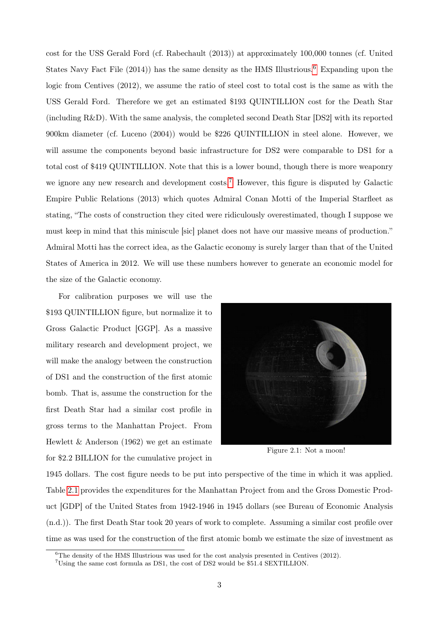cost for the USS Gerald Ford (cf. Rabechault (2013)) at approximately 100,000 tonnes (cf. United States Navy Fact File  $(2014)$  has the same density as the HMS Illustrious.<sup>[6](#page-2-0)</sup> Expanding upon the logic from Centives (2012), we assume the ratio of steel cost to total cost is the same as with the USS Gerald Ford. Therefore we get an estimated \$193 QUINTILLION cost for the Death Star (including R&D). With the same analysis, the completed second Death Star [DS2] with its reported 900km diameter (cf. Luceno (2004)) would be \$226 QUINTILLION in steel alone. However, we will assume the components beyond basic infrastructure for DS2 were comparable to DS1 for a total cost of \$419 QUINTILLION. Note that this is a lower bound, though there is more weaponry we ignore any new research and development costs.<sup>[7](#page-2-1)</sup> However, this figure is disputed by Galactic Empire Public Relations (2013) which quotes Admiral Conan Motti of the Imperial Starfleet as stating, "The costs of construction they cited were ridiculously overestimated, though I suppose we must keep in mind that this miniscule [sic] planet does not have our massive means of production." Admiral Motti has the correct idea, as the Galactic economy is surely larger than that of the United States of America in 2012. We will use these numbers however to generate an economic model for the size of the Galactic economy.

For calibration purposes we will use the \$193 QUINTILLION figure, but normalize it to Gross Galactic Product [GGP]. As a massive military research and development project, we will make the analogy between the construction of DS1 and the construction of the first atomic bomb. That is, assume the construction for the first Death Star had a similar cost profile in gross terms to the Manhattan Project. From Hewlett & Anderson (1962) we get an estimate for \$2.2 BILLION for the cumulative project in



Figure 2.1: Not a moon!

1945 dollars. The cost figure needs to be put into perspective of the time in which it was applied. Table [2.1](#page-3-0) provides the expenditures for the Manhattan Project from and the Gross Domestic Product [GDP] of the United States from 1942-1946 in 1945 dollars (see Bureau of Economic Analysis (n.d.)). The first Death Star took 20 years of work to complete. Assuming a similar cost profile over time as was used for the construction of the first atomic bomb we estimate the size of investment as

<span id="page-2-0"></span> $6$ The density of the HMS Illustrious was used for the cost analysis presented in Centives (2012).

<span id="page-2-1"></span><sup>7</sup>Using the same cost formula as DS1, the cost of DS2 would be \$51.4 SEXTILLION.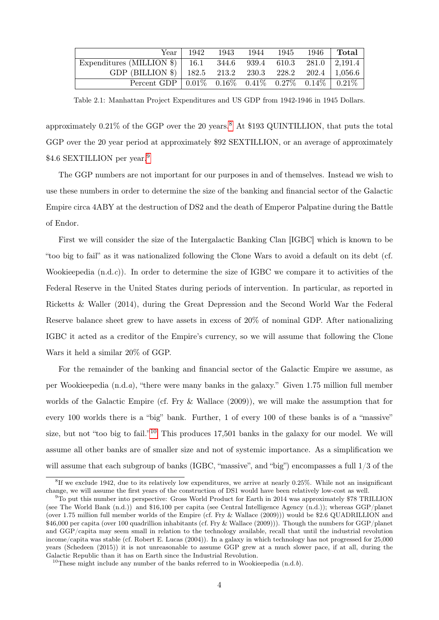<span id="page-3-0"></span>

|                                                                                                   | Year $\vert$ 1942 |  |  | 1943 1944 1945 1946 Total |
|---------------------------------------------------------------------------------------------------|-------------------|--|--|---------------------------|
| Expenditures (MILLION \$)   16.1 344.6 939.4 610.3 281.0   2,191.4                                |                   |  |  |                           |
| GDP (BILLION \$)   182.5 213.2 230.3 228.2 202.4   1,056.6                                        |                   |  |  |                           |
| Percent GDP $\vert 0.01\% \quad 0.16\% \quad 0.41\% \quad 0.27\% \quad 0.14\% \vert 0.21\% \vert$ |                   |  |  |                           |

Table 2.1: Manhattan Project Expenditures and US GDP from 1942-1946 in 1945 Dollars.

approximately  $0.21\%$  of the GGP over the 20 years.<sup>[8](#page-3-1)</sup> At \$193 QUINTILLION, that puts the total GGP over the 20 year period at approximately \$92 SEXTILLION, or an average of approximately \$4.6 SEXTILLION per year.<sup>[9](#page-3-2)</sup>

The GGP numbers are not important for our purposes in and of themselves. Instead we wish to use these numbers in order to determine the size of the banking and financial sector of the Galactic Empire circa 4ABY at the destruction of DS2 and the death of Emperor Palpatine during the Battle of Endor.

First we will consider the size of the Intergalactic Banking Clan [IGBC] which is known to be "too big to fail" as it was nationalized following the Clone Wars to avoid a default on its debt (cf. Wookieepedia  $(n.d.c)$ ). In order to determine the size of IGBC we compare it to activities of the Federal Reserve in the United States during periods of intervention. In particular, as reported in Ricketts & Waller (2014), during the Great Depression and the Second World War the Federal Reserve balance sheet grew to have assets in excess of 20% of nominal GDP. After nationalizing IGBC it acted as a creditor of the Empire's currency, so we will assume that following the Clone Wars it held a similar 20% of GGP.

For the remainder of the banking and financial sector of the Galactic Empire we assume, as per Wookieepedia (n.d.a), "there were many banks in the galaxy." Given 1.75 million full member worlds of the Galactic Empire (cf. Fry & Wallace (2009)), we will make the assumption that for every 100 worlds there is a "big" bank. Further, 1 of every 100 of these banks is of a "massive" size, but not "too big to fail."<sup>[10](#page-3-3)</sup> This produces 17,501 banks in the galaxy for our model. We will assume all other banks are of smaller size and not of systemic importance. As a simplification we will assume that each subgroup of banks (IGBC, "massive", and "big") encompasses a full  $1/3$  of the

<span id="page-3-1"></span><sup>8</sup> If we exclude 1942, due to its relatively low expenditures, we arrive at nearly 0.25%. While not an insignificant change, we will assume the first years of the construction of DS1 would have been relatively low-cost as well.

<span id="page-3-2"></span> $9$ To put this number into perspective: Gross World Product for Earth in 2014 was approximately \$78 TRILLION (see The World Bank (n.d.)) and \$16,100 per capita (see Central Intelligence Agency (n.d.)); whereas GGP/planet (over 1.75 million full member worlds of the Empire (cf. Fry & Wallace (2009))) would be \$2.6 QUADRILLION and \$46,000 per capita (over 100 quadrillion inhabitants (cf. Fry & Wallace (2009))). Though the numbers for GGP/planet and GGP/capita may seem small in relation to the technology available, recall that until the industrial revolution income/capita was stable (cf. Robert E. Lucas (2004)). In a galaxy in which technology has not progressed for 25,000 years (Schedeen (2015)) it is not unreasonable to assume GGP grew at a much slower pace, if at all, during the Galactic Republic than it has on Earth since the Industrial Revolution.

<span id="page-3-3"></span><sup>&</sup>lt;sup>10</sup>These might include any number of the banks referred to in Wookieepedia  $(n.d.b)$ .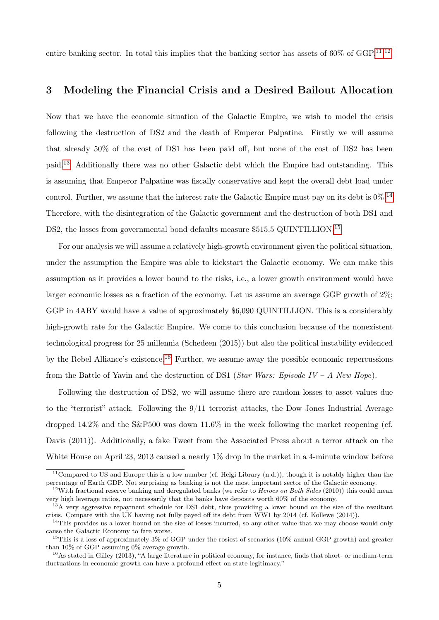entire banking sector. In total this implies that the banking sector has assets of 60% of GGP.<sup>[11](#page-4-0),[12](#page-4-1)</sup>

#### 3 Modeling the Financial Crisis and a Desired Bailout Allocation

Now that we have the economic situation of the Galactic Empire, we wish to model the crisis following the destruction of DS2 and the death of Emperor Palpatine. Firstly we will assume that already 50% of the cost of DS1 has been paid off, but none of the cost of DS2 has been paid.[13](#page-4-2) Additionally there was no other Galactic debt which the Empire had outstanding. This is assuming that Emperor Palpatine was fiscally conservative and kept the overall debt load under control. Further, we assume that the interest rate the Galactic Empire must pay on its debt is  $0\%$ .<sup>[14](#page-4-3)</sup> Therefore, with the disintegration of the Galactic government and the destruction of both DS1 and DS2, the losses from governmental bond defaults measure \$5[15](#page-4-4).5 QUINTILLION.<sup>15</sup>

For our analysis we will assume a relatively high-growth environment given the political situation, under the assumption the Empire was able to kickstart the Galactic economy. We can make this assumption as it provides a lower bound to the risks, i.e., a lower growth environment would have larger economic losses as a fraction of the economy. Let us assume an average GGP growth of 2%; GGP in 4ABY would have a value of approximately \$6,090 QUINTILLION. This is a considerably high-growth rate for the Galactic Empire. We come to this conclusion because of the nonexistent technological progress for 25 millennia (Schedeen (2015)) but also the political instability evidenced by the Rebel Alliance's existence.[16](#page-4-5) Further, we assume away the possible economic repercussions from the Battle of Yavin and the destruction of DS1 (*Star Wars: Episode IV – A New Hope*).

Following the destruction of DS2, we will assume there are random losses to asset values due to the "terrorist" attack. Following the 9/11 terrorist attacks, the Dow Jones Industrial Average dropped 14.2% and the S&P500 was down 11.6% in the week following the market reopening (cf. Davis (2011)). Additionally, a fake Tweet from the Associated Press about a terror attack on the White House on April 23, 2013 caused a nearly 1% drop in the market in a 4-minute window before

<span id="page-4-0"></span> $11$ Compared to US and Europe this is a low number (cf. Helgi Library  $(n.d.)$ ), though it is notably higher than the percentage of Earth GDP. Not surprising as banking is not the most important sector of the Galactic economy.

<span id="page-4-1"></span> $12$ With fractional reserve banking and deregulated banks (we refer to *Heroes on Both Sides* (2010)) this could mean very high leverage ratios, not necessarily that the banks have deposits worth 60% of the economy.

<span id="page-4-2"></span><sup>&</sup>lt;sup>13</sup>A very aggressive repayment schedule for DS1 debt, thus providing a lower bound on the size of the resultant crisis. Compare with the UK having not fully payed off its debt from WW1 by 2014 (cf. Kollewe (2014)).

<span id="page-4-3"></span> $14$ This provides us a lower bound on the size of losses incurred, so any other value that we may choose would only cause the Galactic Economy to fare worse.

<span id="page-4-4"></span><sup>&</sup>lt;sup>15</sup>This is a loss of approximately 3% of GGP under the rosiest of scenarios (10% annual GGP growth) and greater than 10% of GGP assuming 0% average growth.

<span id="page-4-5"></span><sup>16</sup>As stated in Gilley (2013), "A large literature in political economy, for instance, finds that short- or medium-term fluctuations in economic growth can have a profound effect on state legitimacy."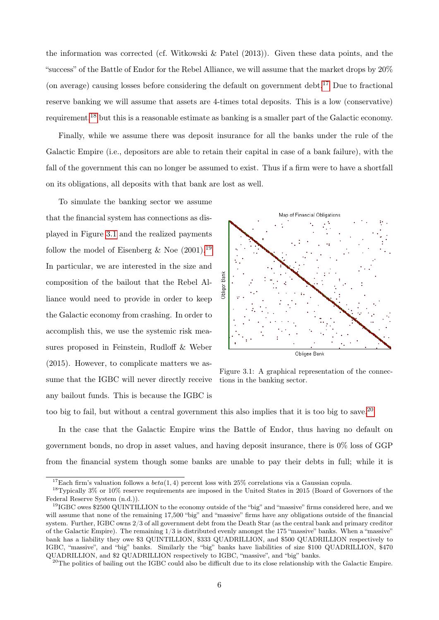the information was corrected (cf. Witkowski & Patel (2013)). Given these data points, and the "success" of the Battle of Endor for the Rebel Alliance, we will assume that the market drops by 20% (on average) causing losses before considering the default on government debt.<sup>[17](#page-5-0)</sup> Due to fractional reserve banking we will assume that assets are 4-times total deposits. This is a low (conservative) requirement,[18](#page-5-1) but this is a reasonable estimate as banking is a smaller part of the Galactic economy.

Finally, while we assume there was deposit insurance for all the banks under the rule of the Galactic Empire (i.e., depositors are able to retain their capital in case of a bank failure), with the fall of the government this can no longer be assumed to exist. Thus if a firm were to have a shortfall on its obligations, all deposits with that bank are lost as well.

To simulate the banking sector we assume that the financial system has connections as displayed in Figure [3.1](#page-5-2) and the realized payments follow the model of Eisenberg & Noe  $(2001).^{19}$  $(2001).^{19}$  $(2001).^{19}$ In particular, we are interested in the size and composition of the bailout that the Rebel Alliance would need to provide in order to keep the Galactic economy from crashing. In order to accomplish this, we use the systemic risk measures proposed in Feinstein, Rudloff & Weber (2015). However, to complicate matters we assume that the IGBC will never directly receive any bailout funds. This is because the IGBC is

<span id="page-5-2"></span>

Figure 3.1: A graphical representation of the connections in the banking sector.

too big to fail, but without a central government this also implies that it is too big to save.<sup>[20](#page-5-4)</sup>

In the case that the Galactic Empire wins the Battle of Endor, thus having no default on government bonds, no drop in asset values, and having deposit insurance, there is 0% loss of GGP from the financial system though some banks are unable to pay their debts in full; while it is

<span id="page-5-1"></span><span id="page-5-0"></span><sup>&</sup>lt;sup>17</sup>Each firm's valuation follows a  $beta(1, 4)$  percent loss with 25% correlations via a Gaussian copula.

<sup>18</sup>Typically 3% or 10% reserve requirements are imposed in the United States in 2015 (Board of Governors of the Federal Reserve System (n.d.)).

<span id="page-5-3"></span> $^{19}$ IGBC owes \$2500 QUINTILLION to the economy outside of the "big" and "massive" firms considered here, and we will assume that none of the remaining 17,500 "big" and "massive" firms have any obligations outside of the financial system. Further, IGBC owns 2/3 of all government debt from the Death Star (as the central bank and primary creditor of the Galactic Empire). The remaining 1/3 is distributed evenly amongst the 175 "massive" banks. When a "massive" bank has a liability they owe \$3 QUINTILLION, \$333 QUADRILLION, and \$500 QUADRILLION respectively to IGBC, "massive", and "big" banks. Similarly the "big" banks have liabilities of size \$100 QUADRILLION, \$470 QUADRILLION, and \$2 QUADRILLION respectively to IGBC, "massive", and "big" banks.

<span id="page-5-4"></span> $^{20}$ The politics of bailing out the IGBC could also be difficult due to its close relationship with the Galactic Empire.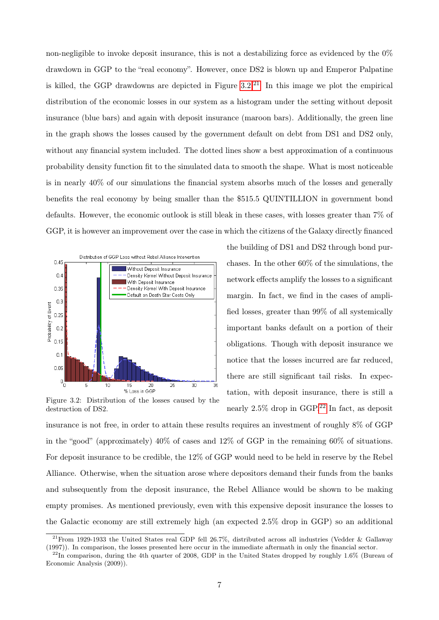non-negligible to invoke deposit insurance, this is not a destabilizing force as evidenced by the 0% drawdown in GGP to the "real economy". However, once DS2 is blown up and Emperor Palpatine is killed, the GGP drawdowns are depicted in Figure  $3.2^{21}$  $3.2^{21}$  $3.2^{21}$  In this image we plot the empirical distribution of the economic losses in our system as a histogram under the setting without deposit insurance (blue bars) and again with deposit insurance (maroon bars). Additionally, the green line in the graph shows the losses caused by the government default on debt from DS1 and DS2 only, without any financial system included. The dotted lines show a best approximation of a continuous probability density function fit to the simulated data to smooth the shape. What is most noticeable is in nearly 40% of our simulations the financial system absorbs much of the losses and generally benefits the real economy by being smaller than the \$515.5 QUINTILLION in government bond defaults. However, the economic outlook is still bleak in these cases, with losses greater than 7% of GGP, it is however an improvement over the case in which the citizens of the Galaxy directly financed

<span id="page-6-0"></span>

Figure 3.2: Distribution of the losses caused by the destruction of DS2.

the building of DS1 and DS2 through bond purchases. In the other 60% of the simulations, the network effects amplify the losses to a significant margin. In fact, we find in the cases of amplified losses, greater than 99% of all systemically important banks default on a portion of their obligations. Though with deposit insurance we notice that the losses incurred are far reduced, there are still significant tail risks. In expectation, with deposit insurance, there is still a nearly  $2.5\%$  drop in GGP.<sup>[22](#page-6-2)</sup> In fact, as deposit

insurance is not free, in order to attain these results requires an investment of roughly 8% of GGP in the "good" (approximately) 40% of cases and 12% of GGP in the remaining 60% of situations. For deposit insurance to be credible, the 12% of GGP would need to be held in reserve by the Rebel Alliance. Otherwise, when the situation arose where depositors demand their funds from the banks and subsequently from the deposit insurance, the Rebel Alliance would be shown to be making empty promises. As mentioned previously, even with this expensive deposit insurance the losses to the Galactic economy are still extremely high (an expected 2.5% drop in GGP) so an additional

<span id="page-6-1"></span><sup>21</sup>From 1929-1933 the United States real GDP fell 26.7%, distributed across all industries (Vedder & Gallaway (1997)). In comparison, the losses presented here occur in the immediate aftermath in only the financial sector.

<span id="page-6-2"></span> $^{22}$ In comparison, during the 4th quarter of 2008, GDP in the United States dropped by roughly 1.6% (Bureau of Economic Analysis (2009)).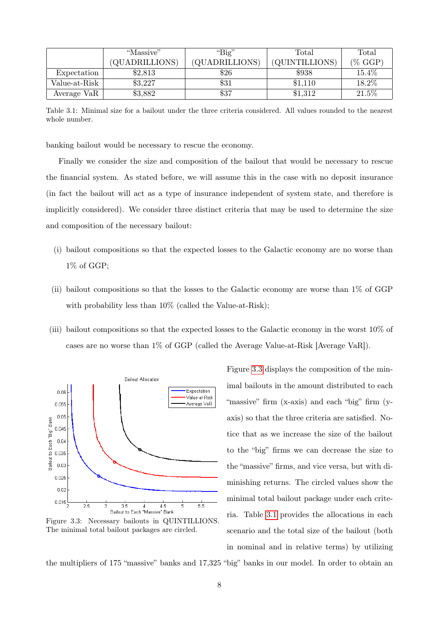<span id="page-7-1"></span>

|                        | "Massive"      | " $Big"$       | $\rm Total$    | Total      |
|------------------------|----------------|----------------|----------------|------------|
|                        | (QUADRILLIONS) | (QUADRILLIONS) | (QUINTILLIONS) | $(\%$ GGP) |
| Expectation            | \$2,813        | \$26           | \$938          | 15.4%      |
| Value-at-Risk          | \$3,227        | \$31           | \$1,110        | 18.2%      |
| Average Va $R_{\perp}$ | \$3,882        | \$37           | \$1,312        | 21.5%      |

Table 3.1: Minimal size for a bailout under the three criteria considered. All values rounded to the nearest whole number.

banking bailout would be necessary to rescue the economy.

Finally we consider the size and composition of the bailout that would be necessary to rescue the financial system. As stated before, we will assume this in the case with no deposit insurance (in fact the bailout will act as a type of insurance independent of system state, and therefore is implicitly considered). We consider three distinct criteria that may be used to determine the size and composition of the necessary bailout:

- (i) bailout compositions so that the expected losses to the Galactic economy are no worse than 1% of GGP;
- (ii) bailout compositions so that the losses to the Galactic economy are worse than 1% of GGP with probability less than  $10\%$  (called the Value-at-Risk);
- (iii) bailout compositions so that the expected losses to the Galactic economy in the worst 10% of cases are no worse than 1% of GGP (called the Average Value-at-Risk [Average VaR]).

<span id="page-7-0"></span>

Figure 3.3: Necessary bailouts in QUINTILLIONS. The minimal total bailout packages are circled.

Figure [3.3](#page-7-0) displays the composition of the minimal bailouts in the amount distributed to each "massive" firm (x-axis) and each "big" firm (yaxis) so that the three criteria are satisfied. Notice that as we increase the size of the bailout to the "big" firms we can decrease the size to the "massive" firms, and vice versa, but with diminishing returns. The circled values show the minimal total bailout package under each criteria. Table [3.1](#page-7-1) provides the allocations in each scenario and the total size of the bailout (both in nominal and in relative terms) by utilizing

the multipliers of 175 "massive" banks and 17,325 "big" banks in our model. In order to obtain an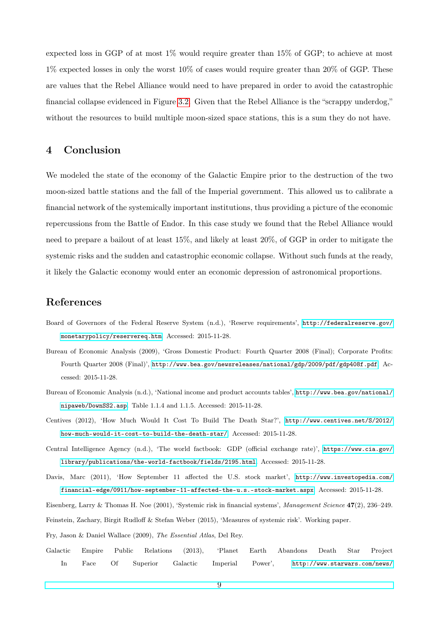expected loss in GGP of at most 1% would require greater than 15% of GGP; to achieve at most 1% expected losses in only the worst 10% of cases would require greater than 20% of GGP. These are values that the Rebel Alliance would need to have prepared in order to avoid the catastrophic financial collapse evidenced in Figure [3.2.](#page-6-0) Given that the Rebel Alliance is the "scrappy underdog," without the resources to build multiple moon-sized space stations, this is a sum they do not have.

### 4 Conclusion

We modeled the state of the economy of the Galactic Empire prior to the destruction of the two moon-sized battle stations and the fall of the Imperial government. This allowed us to calibrate a financial network of the systemically important institutions, thus providing a picture of the economic repercussions from the Battle of Endor. In this case study we found that the Rebel Alliance would need to prepare a bailout of at least 15%, and likely at least 20%, of GGP in order to mitigate the systemic risks and the sudden and catastrophic economic collapse. Without such funds at the ready, it likely the Galactic economy would enter an economic depression of astronomical proportions.

#### References

- Board of Governors of the Federal Reserve System (n.d.), 'Reserve requirements', [http://federalreserve.gov/](http://federalreserve.gov/monetarypolicy/reservereq.htm) [monetarypolicy/reservereq.htm](http://federalreserve.gov/monetarypolicy/reservereq.htm). Accessed: 2015-11-28.
- Bureau of Economic Analysis (2009), 'Gross Domestic Product: Fourth Quarter 2008 (Final); Corporate Profits: Fourth Quarter 2008 (Final)', <http://www.bea.gov/newsreleases/national/gdp/2009/pdf/gdp408f.pdf>. Accessed: 2015-11-28.
- Bureau of Economic Analysis (n.d.), 'National income and product accounts tables', [http://www.bea.gov/national/](http://www.bea.gov/national/nipaweb/DownSS2.asp) [nipaweb/DownSS2.asp](http://www.bea.gov/national/nipaweb/DownSS2.asp). Table 1.1.4 and 1.1.5. Accessed: 2015-11-28.
- Centives (2012), 'How Much Would It Cost To Build The Death Star?', [http://www.centives.net/S/2012/](http://www.centives.net/S/2012/how-much-would-it-cost-to-build-the-death-star/) [how-much-would-it-cost-to-build-the-death-star/](http://www.centives.net/S/2012/how-much-would-it-cost-to-build-the-death-star/). Accessed: 2015-11-28.
- Central Intelligence Agency (n.d.), 'The world factbook: GDP (official exchange rate)', [https://www.cia.gov/](https://www.cia.gov/library/publications/the-world-factbook/fields/2195.html) [library/publications/the-world-factbook/fields/2195.html](https://www.cia.gov/library/publications/the-world-factbook/fields/2195.html). Accessed: 2015-11-28.
- Davis, Marc (2011), 'How September 11 affected the U.S. stock market', [http://www.investopedia.com/](http://www.investopedia.com/financial-edge/0911/how-september-11-affected-the-u.s.-stock-market.aspx) [financial-edge/0911/how-september-11-affected-the-u.s.-stock-market.aspx](http://www.investopedia.com/financial-edge/0911/how-september-11-affected-the-u.s.-stock-market.aspx). Accessed: 2015-11-28.
- Eisenberg, Larry & Thomas H. Noe (2001), 'Systemic risk in financial systems', Management Science 47(2), 236–249.

Feinstein, Zachary, Birgit Rudloff & Stefan Weber (2015), 'Measures of systemic risk'. Working paper.

- Fry, Jason & Daniel Wallace (2009), The Essential Atlas, Del Rey.
- Galactic Empire Public Relations (2013), 'Planet Earth Abandons Death Star Project In Face Of Superior Galactic Imperial Power', [http://www.starwars.com/news/](http://www.starwars.com/news/planet-earth-abandons-death-star-project-in-face-of-superior-galactic-imperial-power)